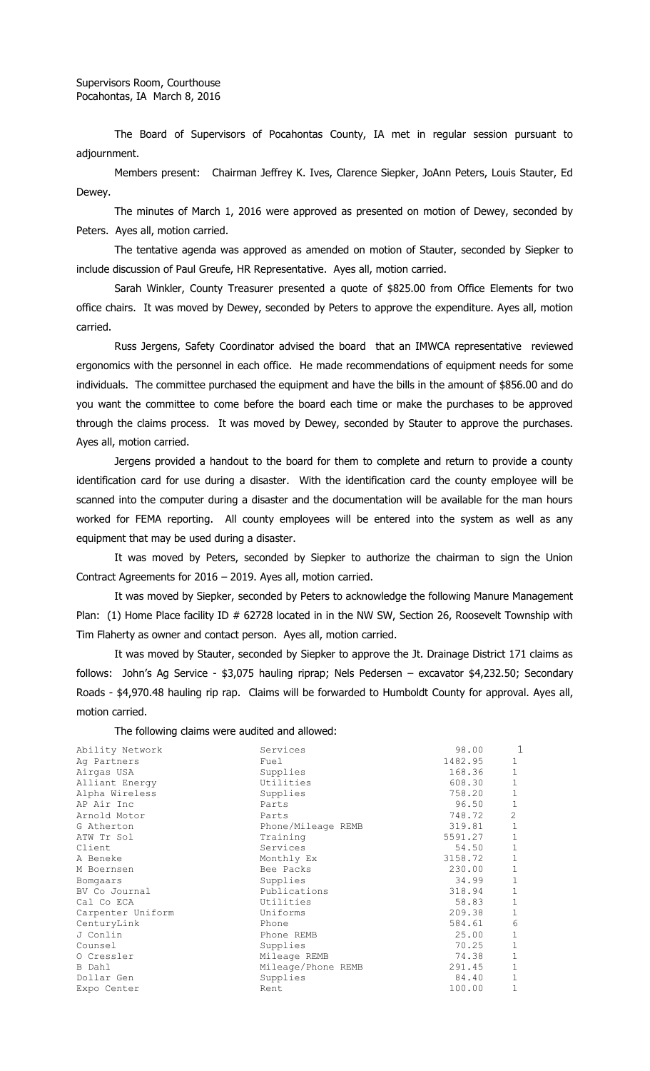The Board of Supervisors of Pocahontas County, IA met in regular session pursuant to adjournment.

Members present: Chairman Jeffrey K. Ives, Clarence Siepker, JoAnn Peters, Louis Stauter, Ed Dewey.

The minutes of March 1, 2016 were approved as presented on motion of Dewey, seconded by Peters. Ayes all, motion carried.

The tentative agenda was approved as amended on motion of Stauter, seconded by Siepker to include discussion of Paul Greufe, HR Representative. Ayes all, motion carried.

Sarah Winkler, County Treasurer presented a quote of \$825.00 from Office Elements for two office chairs. It was moved by Dewey, seconded by Peters to approve the expenditure. Ayes all, motion carried.

Russ Jergens, Safety Coordinator advised the board that an IMWCA representative reviewed ergonomics with the personnel in each office. He made recommendations of equipment needs for some individuals. The committee purchased the equipment and have the bills in the amount of \$856.00 and do you want the committee to come before the board each time or make the purchases to be approved through the claims process. It was moved by Dewey, seconded by Stauter to approve the purchases. Ayes all, motion carried.

Jergens provided a handout to the board for them to complete and return to provide a county identification card for use during a disaster. With the identification card the county employee will be scanned into the computer during a disaster and the documentation will be available for the man hours worked for FEMA reporting. All county employees will be entered into the system as well as any equipment that may be used during a disaster.

It was moved by Peters, seconded by Siepker to authorize the chairman to sign the Union Contract Agreements for 2016 – 2019. Ayes all, motion carried.

It was moved by Siepker, seconded by Peters to acknowledge the following Manure Management Plan: (1) Home Place facility ID # 62728 located in in the NW SW, Section 26, Roosevelt Township with Tim Flaherty as owner and contact person. Ayes all, motion carried.

It was moved by Stauter, seconded by Siepker to approve the Jt. Drainage District 171 claims as follows: John's Ag Service - \$3,075 hauling riprap; Nels Pedersen – excavator \$4,232.50; Secondary Roads - \$4,970.48 hauling rip rap. Claims will be forwarded to Humboldt County for approval. Ayes all, motion carried.

The following claims were audited and allowed:

| Ability Network   | Services           | 98.00   | 1            |
|-------------------|--------------------|---------|--------------|
| Ag Partners       | Fuel               | 1482.95 | $\mathbf 1$  |
| Airgas USA        | Supplies           | 168.36  | $\mathbf 1$  |
| Alliant Energy    | Utilities          | 608.30  | $\mathbf{1}$ |
| Alpha Wireless    | Supplies           | 758.20  | $\mathbf{1}$ |
| AP Air Inc        | Parts              | 96.50   | $\mathbf{1}$ |
| Arnold Motor      | Parts              | 748.72  | 2            |
| G Atherton        | Phone/Mileage REMB | 319.81  | $\mathbf{1}$ |
| ATW Tr Sol        | Training           | 5591.27 | $\mathbf{1}$ |
| Client            | Services           | 54.50   | $\mathbf{1}$ |
| A Beneke          | Monthly Ex         | 3158.72 | $\mathbf{1}$ |
| M Boernsen        | Bee Packs          | 230.00  | $\mathbf{1}$ |
| Bomgaars          | Supplies           | 34.99   | $\mathbf{1}$ |
| BV Co Journal     | Publications       | 318.94  | $\mathbf{1}$ |
| Cal Co ECA        | Utilities          | 58.83   | $\mathbf{1}$ |
| Carpenter Uniform | Uniforms           | 209.38  | $\mathbf{1}$ |
| CenturyLink       | Phone              | 584.61  | 6            |
| J Conlin          | Phone REMB         | 25.00   | $\mathbf{1}$ |
| Counsel           | Supplies           | 70.25   | $\mathbf{1}$ |
| O Cressler        | Mileage REMB       | 74.38   | $\mathbf{1}$ |
| B Dahl            | Mileage/Phone REMB | 291.45  | $\mathbf{1}$ |
| Dollar Gen        | Supplies           | 84.40   | $\mathbf{1}$ |
| Expo Center       | Rent               | 100.00  | $\mathbf{1}$ |
|                   |                    |         |              |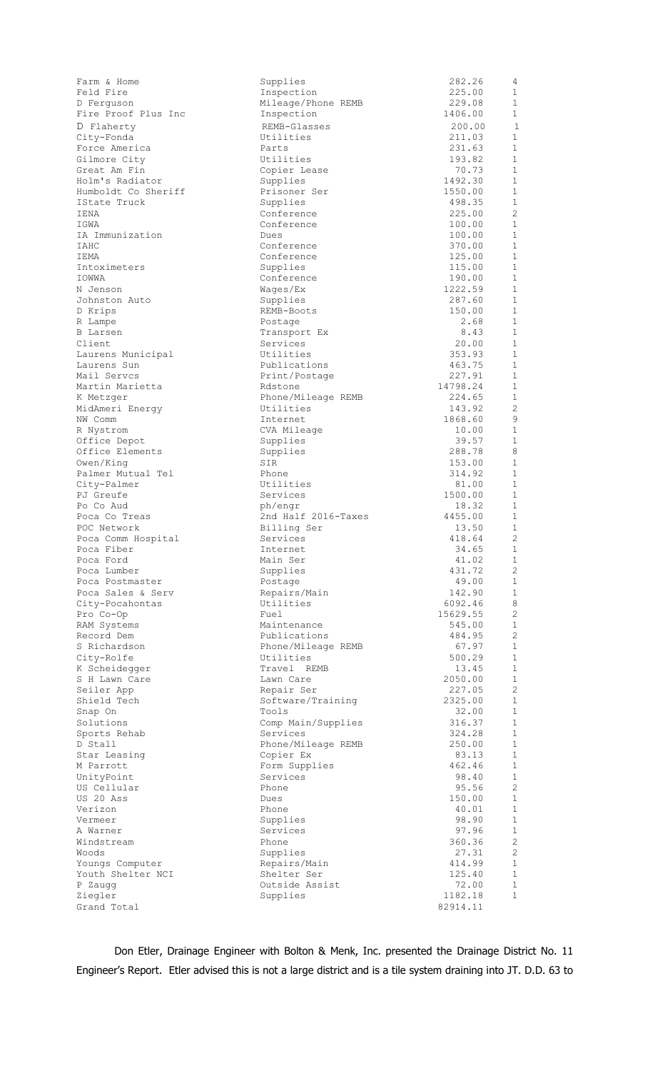| Farm & Home                          | Supplies                        | 282.26              | 4                                     |
|--------------------------------------|---------------------------------|---------------------|---------------------------------------|
| Feld Fire                            | Inspection                      | 225.00              | $\mathbf 1$                           |
| D Ferguson<br>Fire Proof Plus Inc    | Mileage/Phone REMB              | 229.08<br>1406.00   | $\mathbf{1}$<br>$\mathbf{1}$          |
|                                      | Inspection<br>REMB-Glasses      |                     | $\mathbf{1}$                          |
| D Flaherty<br>City-Fonda             | Utilities                       | 200.00<br>211.03    | $\mathbf 1$                           |
| Force America                        | Parts                           | 231.63              | $\mathbf{1}$                          |
| Gilmore City                         | Utilities                       | 193.82              | $\mathbf 1$                           |
| Great Am Fin                         | Copier Lease                    | 70.73               | $\mathbf{1}$                          |
| Holm's Radiator                      | Supplies                        | 1492.30             | $\mathbf{1}$                          |
| Humboldt Co Sheriff                  | Prisoner Ser                    | 1550.00             | $\mathbf{1}$                          |
| IState Truck                         | Supplies                        | 498.35              | $\mathbf{1}$                          |
| <b>IENA</b>                          | Conference                      | 225.00              | 2                                     |
| IGWA                                 | Conference                      | 100.00              | $\mathbf{1}$                          |
| IA Immunization                      | Dues                            | 100.00<br>370.00    | $\mathbf{1}$<br>$\mathbf 1$           |
| IAHC<br>IEMA                         | Conference<br>Conference        | 125.00              | $\mathbf{1}$                          |
| Intoximeters                         | Supplies                        | 115.00              | $\mathbf{1}$                          |
| IOWWA                                | Conference                      | 190.00              | $\mathbf{1}$                          |
| N Jenson                             | Wages/Ex                        | 1222.59             | $\mathbf{1}$                          |
| Johnston Auto                        | Supplies                        | 287.60              | $\mathbf{1}$                          |
| D Krips                              | REMB-Boots                      | 150.00              | $\mathbf{1}$                          |
| R Lampe                              | Postage                         | 2.68                | $\mathbf 1$                           |
| B Larsen                             | Transport Ex                    | 8.43                | 1                                     |
| Client                               | Services                        | 20.00               | $\mathbf{1}$                          |
| Laurens Municipal                    | Utilities<br>Publications       | 353.93<br>463.75    | $\mathbf 1$<br>$\mathbf{1}$           |
| Laurens Sun<br>Mail Servcs           | Print/Postage                   | 227.91              | $\mathbf{1}$                          |
| Martin Marietta                      | Rdstone                         | 14798.24            | $\mathbf{1}$                          |
| K Metzger                            | Phone/Mileage REMB              | 224.65              | $\mathbf{1}$                          |
| MidAmeri Energy                      | Utilities                       | 143.92              | $\mathbf{2}$                          |
| NW Comm                              | Internet                        | 1868.60             | 9                                     |
| R Nystrom                            | CVA Mileage                     | 10.00               | $\mathbf 1$                           |
| Office Depot                         | Supplies                        | 39.57               | $\mathbf{1}$                          |
| Office Elements                      | Supplies                        | 288.78              | 8                                     |
| Owen/King                            | SIR                             | 153.00              | $\mathbf 1$                           |
| Palmer Mutual Tel<br>City-Palmer     | Phone<br>Utilities              | 314.92<br>81.00     | $\mathbf{1}$<br>$\mathbf{1}$          |
| PJ Greufe                            | Services                        | 1500.00             | 1                                     |
| Po Co Aud                            | ph/engr                         | 18.32               | 1                                     |
| Poca Co Treas                        | 2nd Half 2016-Taxes             | 4455.00             | $\mathbf{1}$                          |
| POC Network                          | Billing Ser                     | 13.50               | 1                                     |
| Poca Comm Hospital                   | Services                        | 418.64              | 2                                     |
| Poca Fiber                           | Internet                        | 34.65               | 1                                     |
| Poca Ford                            | Main Ser                        | 41.02               | 1                                     |
| Poca Lumber                          | Supplies                        | 431.72              | $\mathbf{2}^{\prime}$<br>$\mathbf{1}$ |
| Poca Postmaster<br>Poca Sales & Serv | Postage<br>Repairs/Main         | 49.00<br>142.90     | 1                                     |
| City-Pocahontas                      | Utilities                       | 6092.46             | 8                                     |
| Pro Co-Op                            | Fuel                            | 15629.55            | 2                                     |
| RAM Systems                          | Maintenance                     | 545.00              | $\mathbf{1}$                          |
| Record Dem                           | Publications                    | 484.95              | 2                                     |
| S Richardson                         | Phone/Mileage REMB              | 67.97               | $\mathbf 1$                           |
| City-Rolfe                           | Utilities                       | 500.29              | $\mathbf{1}$                          |
| K Scheidegger                        | Travel REMB                     | 13.45               | $\mathbf{1}$                          |
| S H Lawn Care                        | Lawn Care                       | 2050.00             | $\mathbf 1$<br>2                      |
| Seiler App<br>Shield Tech            | Repair Ser<br>Software/Training | 227.05<br>2325.00   | $\mathbf{1}$                          |
| Snap On                              | Tools                           | 32.00               | $\mathbf{1}$                          |
| Solutions                            | Comp Main/Supplies              | 316.37              | $\mathbf 1$                           |
| Sports Rehab                         | Services                        | 324.28              | $\mathbf 1$                           |
| D Stall                              | Phone/Mileage REMB              | 250.00              | 1                                     |
| Star Leasing                         | Copier Ex                       | 83.13               | $\mathbf 1$                           |
| M Parrott                            | Form Supplies                   | 462.46              | $\mathbf{1}$                          |
| UnityPoint                           | Services                        | 98.40               | $\mathbf{1}$                          |
| US Cellular<br>US 20 Ass             | Phone<br>Dues                   | 95.56<br>150.00     | $\mathbf{2}$<br>$\mathbf{1}$          |
| Verizon                              | Phone                           | 40.01               | $\mathbf 1$                           |
| Vermeer                              | Supplies                        | 98.90               | $\mathbf{1}$                          |
| A Warner                             | Services                        | 97.96               | $\mathbf{1}$                          |
| Windstream                           | Phone                           | 360.36              | $\mathbf{2}$                          |
| Woods                                | Supplies                        | 27.31               | 2                                     |
| Youngs Computer                      | Repairs/Main                    | 414.99              | $\mathbf{1}$                          |
| Youth Shelter NCI                    | Shelter Ser                     | 125.40              | $\mathbf{1}$                          |
| P Zaugg                              | Outside Assist                  | 72.00               | $\mathbf 1$<br>$\mathbf 1$            |
| Ziegler<br>Grand Total               | Supplies                        | 1182.18<br>82914.11 |                                       |
|                                      |                                 |                     |                                       |

Don Etler, Drainage Engineer with Bolton & Menk, Inc. presented the Drainage District No. 11 Engineer's Report. Etler advised this is not a large district and is a tile system draining into JT. D.D. 63 to